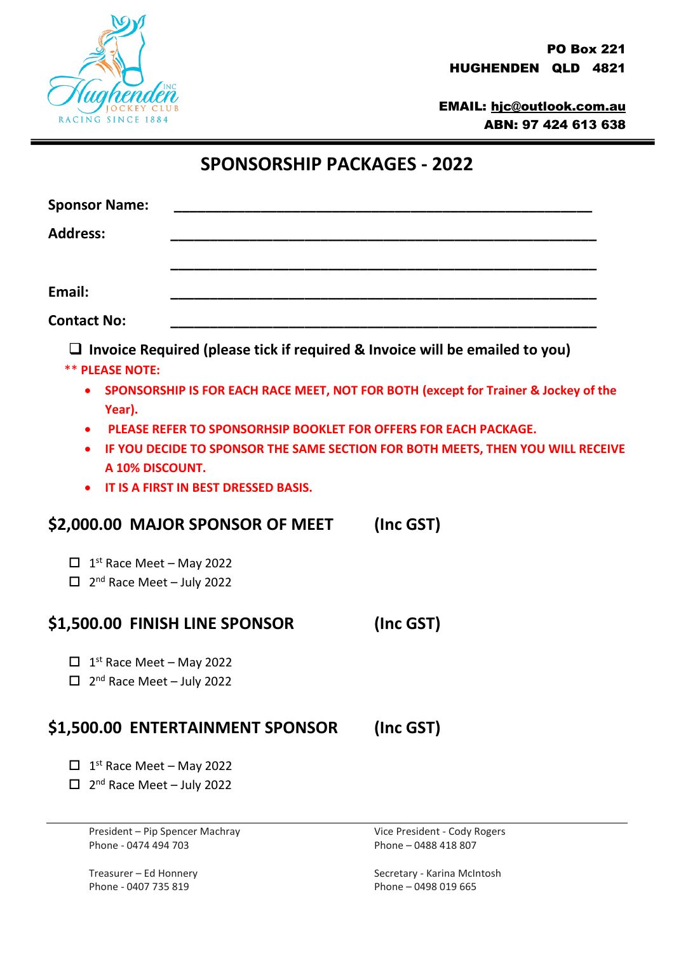

EMAIL: [hjc@outlook.com.au](mailto:hjc@outlook.com.au) ABN: 97 424 613 638

| <b>Sponsor Name:</b>                                                                 |                                                                                                                 |                                                                                     |
|--------------------------------------------------------------------------------------|-----------------------------------------------------------------------------------------------------------------|-------------------------------------------------------------------------------------|
| <b>Address:</b>                                                                      |                                                                                                                 |                                                                                     |
|                                                                                      |                                                                                                                 |                                                                                     |
| Email:                                                                               |                                                                                                                 |                                                                                     |
| <b>Contact No:</b>                                                                   |                                                                                                                 |                                                                                     |
| <b>** PLEASE NOTE:</b>                                                               |                                                                                                                 | $\Box$ Invoice Required (please tick if required & Invoice will be emailed to you)  |
| $\bullet$<br>Year).                                                                  |                                                                                                                 | SPONSORSHIP IS FOR EACH RACE MEET, NOT FOR BOTH (except for Trainer & Jockey of the |
| $\bullet$<br>$\bullet$<br>A 10% DISCOUNT.                                            | <b>PLEASE REFER TO SPONSORHSIP BOOKLET FOR OFFERS FOR EACH PACKAGE.</b><br>IT IS A FIRST IN BEST DRESSED BASIS. | IF YOU DECIDE TO SPONSOR THE SAME SECTION FOR BOTH MEETS, THEN YOU WILL RECEIVE     |
|                                                                                      | \$2,000.00 MAJOR SPONSOR OF MEET                                                                                | (Inc GST)                                                                           |
| $\Box$ 1 <sup>st</sup> Race Meet - May 2022<br>$2nd$ Race Meet - July 2022<br>$\Box$ |                                                                                                                 |                                                                                     |
| \$1,500.00 FINISH LINE SPONSOR                                                       |                                                                                                                 | (Inc GST)                                                                           |
| $1st$ Race Meet – May 2022<br>Ц<br>2 <sup>nd</sup> Race Meet - July 2022<br>П        |                                                                                                                 |                                                                                     |
|                                                                                      | \$1,500.00 ENTERTAINMENT SPONSOR                                                                                | (Inc GST)                                                                           |
| $1st$ Race Meet – May 2022<br>2 <sup>nd</sup> Race Meet - July 2022                  |                                                                                                                 |                                                                                     |

President – Pip Spencer Machray Vice President - Cody Rogers Phone - 0474 494 703 Phone – 0488 418 807

Phone - 0407 735 819 Phone – 0498 019 665

Treasurer – Ed Honnery Secretary - Karina McIntosh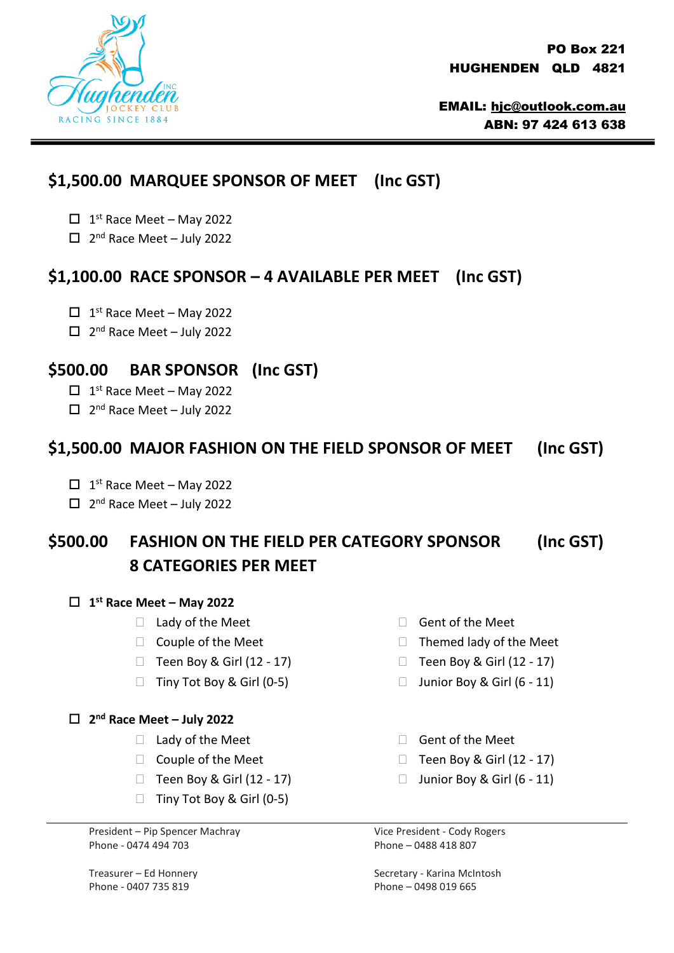

PO Box 221 HUGHENDEN QLD 4821

EMAIL: [hjc@outlook.com.au](mailto:hjc@outlook.com.au) ABN: 97 424 613 638

## **\$1,500.00 MARQUEE SPONSOR OF MEET (Inc GST)**

- $\Box$  1<sup>st</sup> Race Meet May 2022
- $\Box$  2<sup>nd</sup> Race Meet July 2022

#### **\$1,100.00 RACE SPONSOR – 4 AVAILABLE PER MEET (Inc GST)**

- $\Box$  1<sup>st</sup> Race Meet May 2022
- $\Box$  2<sup>nd</sup> Race Meet July 2022

### **\$500.00 BAR SPONSOR (Inc GST)**

- $\Box$  1<sup>st</sup> Race Meet May 2022
- $\Box$  2<sup>nd</sup> Race Meet July 2022

### **\$1,500.00 MAJOR FASHION ON THE FIELD SPONSOR OF MEET (Inc GST)**

- $\Box$  1<sup>st</sup> Race Meet May 2022
- $\Box$  2<sup>nd</sup> Race Meet July 2022

# **\$500.00 FASHION ON THE FIELD PER CATEGORY SPONSOR (Inc GST) 8 CATEGORIES PER MEET**

#### **1 st Race Meet – May 2022**

- $\Box$  Lady of the Meet
- $\Box$  Couple of the Meet
- $\Box$  Teen Boy & Girl (12 17)
- $\Box$  Tiny Tot Boy & Girl (0-5)

#### **2 nd Race Meet – July 2022**

- $\Box$  Lady of the Meet
- $\Box$  Couple of the Meet
- $\Box$  Teen Boy & Girl (12 17)
- $\Box$  Tiny Tot Boy & Girl (0-5)

President – Pip Spencer Machray Vice President - Cody Rogers Phone - 0474 494 703 Phone – 0488 418 807

Phone - 0407 735 819 Phone – 0498 019 665

- □ Gent of the Meet
- $\Box$  Themed lady of the Meet
- $\Box$  Teen Boy & Girl (12 17)
- $\Box$  Junior Boy & Girl (6 11)
- □ Gent of the Meet
- $\Box$  Teen Boy & Girl (12 17)
- $\Box$  Junior Boy & Girl (6 11)

Treasurer – Ed Honnery Secretary - Karina McIntosh